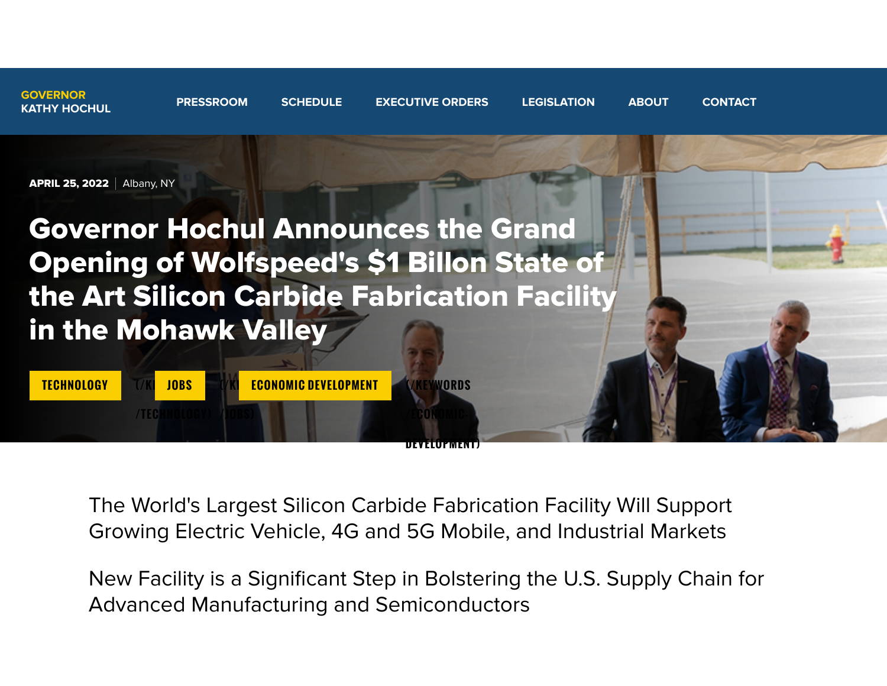



The World's Largest Silicon Carbide Fabrication Facility Will Support Growing Electric Vehicle, 4G and 5G Mobile, and Industrial Markets

**[D E V E LO P M E N T\)](https://www.governor.ny.gov/keywords/economic-development)**

New Facility is a Significant Step in Bolstering the U.S. Supply Chain for Advanced Manufacturing and Semiconductors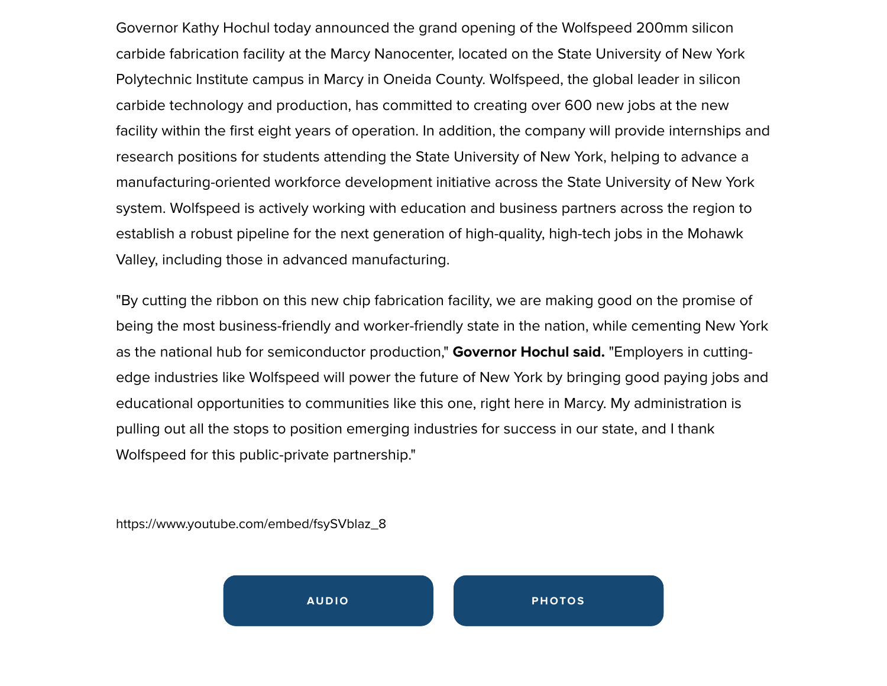Governor Kathy Hochul today announced the grand opening of the Wolfspeed 200mm silicon carbide fabrication facility at the Marcy Nanocenter, located on the State University of New York Polytechnic Institute campus in Marcy in Oneida County. Wolfspeed, the global leader in silicon carbide technology and production, has committed to creating over 600 new jobs at the new facility within the first eight years of operation. In addition, the company will provide internships and research positions for students attending the State University of New York, helping to advance a manufacturing-oriented workforce development initiative across the State University of New York system. Wolfspeed is actively working with education and business partners across the region to establish a robust pipeline for the next generation of high-quality, high-tech jobs in the Mohawk Valley, including those in advanced manufacturing.

"By cutting the ribbon on this new chip fabrication facility, we are making good on the promise of being the most business-friendly and worker-friendly state in the nation, while cementing New York as the national hub for semiconductor production," **Governor Hochul said.** "Employers in cuttingedge industries like Wolfspeed will power the future of New York by bringing good paying jobs and educational opportunities to communities like this one, right here in Marcy. My administration is pulling out all the stops to position emerging industries for success in our state, and I thank Wolfspeed for this public-private partnership."

https://www.youtube.com/embed/fsySVblaz\_8

**AUDIO** PHOTOS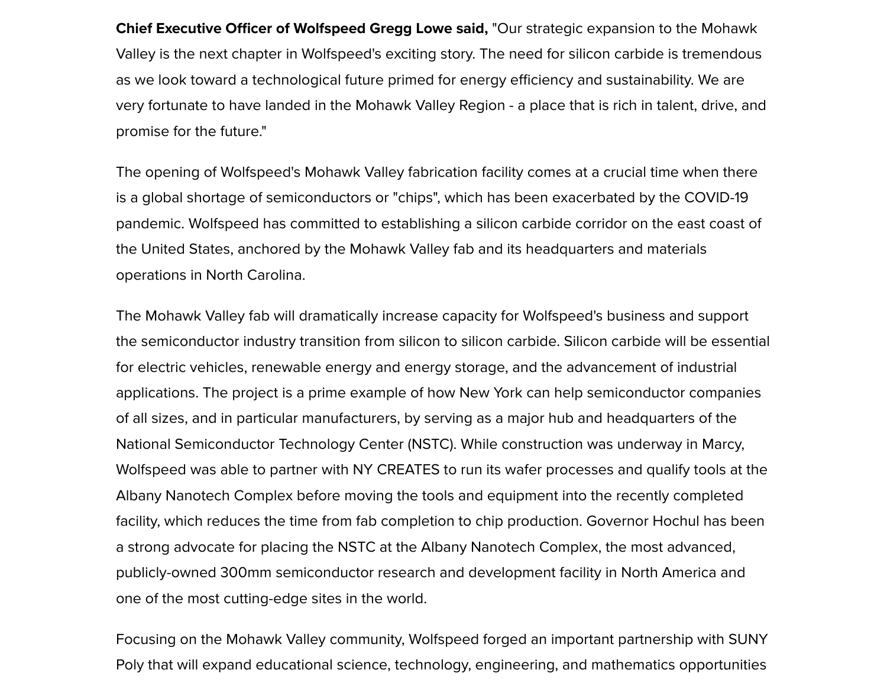**Chief Executive Officer of Wolfspeed Gregg Lowe said, "Our strategic expansion to the Mohawk** Valley is the next chapter in Wolfspeed's exciting story. The need for silicon carbide is tremendous as we look toward a technological future primed for energy efficiency and sustainability. We are very fortunate to have landed in the Mohawk Valley Region - a place that is rich in talent, drive, and promise for the future."

The opening of Wolfspeed's Mohawk Valley fabrication facility comes at a crucial time when there is a global shortage of semiconductors or "chips", which has been exacerbated by the COVID-19 pandemic. Wolfspeed has committed to establishing a silicon carbide corridor on the east coast of the United States, anchored by the Mohawk Valley fab and its headquarters and materials operations in North Carolina.

The Mohawk Valley fab will dramatically increase capacity for Wolfspeed's business and support the semiconductor industry transition from silicon to silicon carbide. Silicon carbide will be essential for electric vehicles, renewable energy and energy storage, and the advancement of industrial applications. The project is a prime example of how New York can help semiconductor companies of all sizes, and in particular manufacturers, by serving as a major hub and headquarters of the National Semiconductor Technology Center (NSTC). While construction was underway in Marcy, Wolfspeed was able to partner with NY CREATES to run its wafer processes and qualify tools at the Albany Nanotech Complex before moving the tools and equipment into the recently completed facility, which reduces the time from fab completion to chip production. Governor Hochul has been a strong advocate for placing the NSTC at the Albany Nanotech Complex, the most advanced, publicly-owned 300mm semiconductor research and development facility in North America and one of the most cutting-edge sites in the world.

Focusing on the Mohawk Valley community, Wolfspeed forged an important partnership with SUNY Poly that will expand educational science, technology, engineering, and mathematics opportunities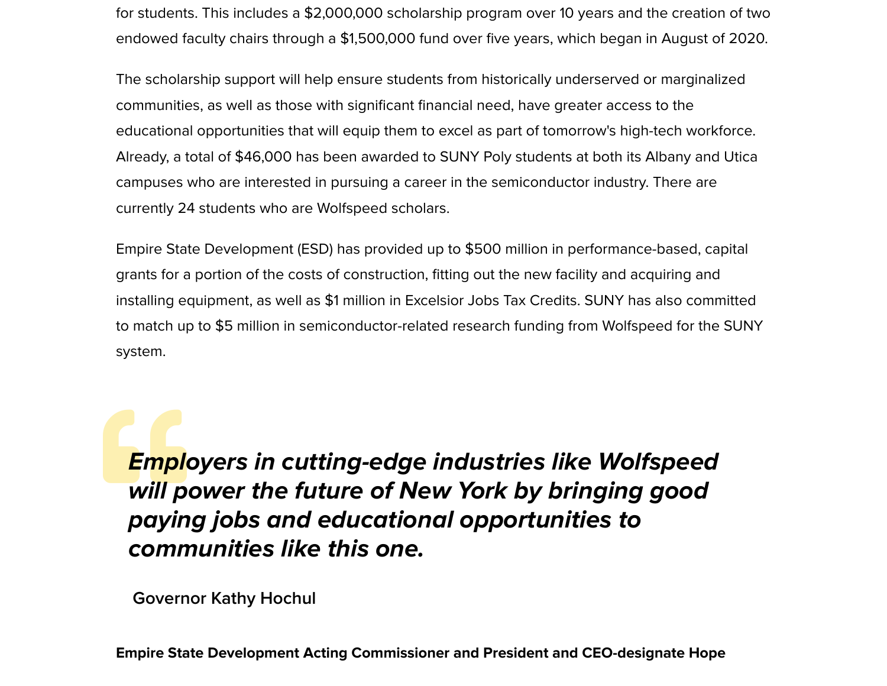for students. This includes a \$2,000,000 scholarship program over 10 years and the creation of two endowed faculty chairs through a \$1,500,000 fund over five years, which began in August of 2020.

The scholarship support will help ensure students from historically underserved or marginalized communities, as well as those with significant financial need, have greater access to the educational opportunities that will equip them to excel as part of tomorrow's high-tech workforce. Already, a total of \$46,000 has been awarded to SUNY Poly students at both its Albany and Utica campuses who are interested in pursuing a career in the semiconductor industry. There are currently 24 students who are Wolfspeed scholars.

Empire State Development (ESD) has provided up to \$500 million in performance-based, capital grants for a portion of the costs of construction, fitting out the new facility and acquiring and installing equipment, as well as \$1 million in Excelsior Jobs Tax Credits. SUNY has also committed to match up to \$5 million in semiconductor-related research funding from Wolfspeed for the SUNY system.

Empl **Employers in cutting-edge industries like Wolfspeed will power the future of New York by bringing good paying jobs and educational opportunities to communities like this one.**

**Governor Kathy Hochul**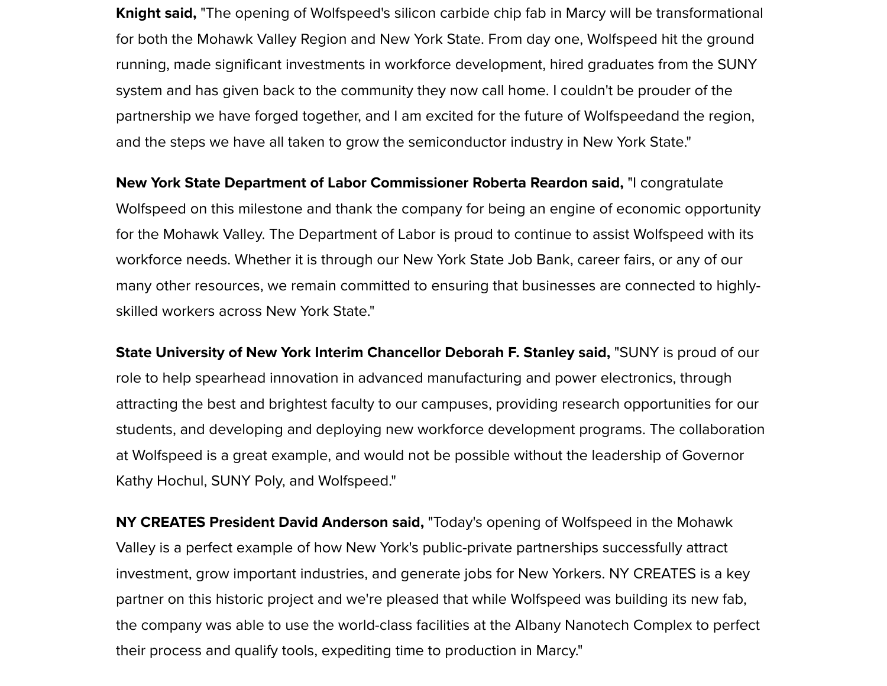**Knight said,** "The opening of Wolfspeed's silicon carbide chip fab in Marcy will be transformational for both the Mohawk Valley Region and New York State. From day one, Wolfspeed hit the ground running, made significant investments in workforce development, hired graduates from the SUNY system and has given back to the community they now call home. I couldn't be prouder of the partnership we have forged together, and I am excited for the future of Wolfspeedand the region, and the steps we have all taken to grow the semiconductor industry in New York State."

**New York State Department of Labor Commissioner Roberta Reardon said,** "I congratulate Wolfspeed on this milestone and thank the company for being an engine of economic opportunity for the Mohawk Valley. The Department of Labor is proud to continue to assist Wolfspeed with its workforce needs. Whether it is through our New York State Job Bank, career fairs, or any of our many other resources, we remain committed to ensuring that businesses are connected to highlyskilled workers across New York State."

**State University of New York Interim Chancellor Deborah F. Stanley said, "SUNY is proud of our** role to help spearhead innovation in advanced manufacturing and power electronics, through attracting the best and brightest faculty to our campuses, providing research opportunities for our students, and developing and deploying new workforce development programs. The collaboration at Wolfspeed is a great example, and would not be possible without the leadership of Governor Kathy Hochul, SUNY Poly, and Wolfspeed."

**NY CREATES President David Anderson said,** "Today's opening of Wolfspeed in the Mohawk Valley is a perfect example of how New York's public-private partnerships successfully attract investment, grow important industries, and generate jobs for New Yorkers. NY CREATES is a key partner on this historic project and we're pleased that while Wolfspeed was building its new fab, the company was able to use the world-class facilities at the Albany Nanotech Complex to perfect their process and qualify tools, expediting time to production in Marcy."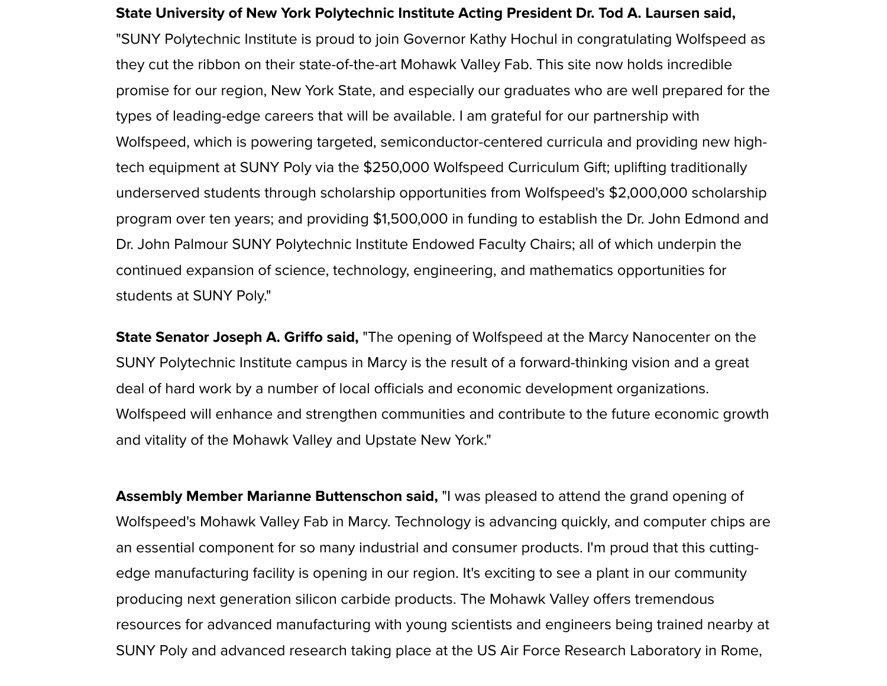**State University of New York Polytechnic Institute Acting President Dr. Tod A. Laursen said,** "SUNY Polytechnic Institute is proud to join Governor Kathy Hochul in congratulating Wolfspeed as they cut the ribbon on their state-of-the-art Mohawk Valley Fab. This site now holds incredible promise for our region, New York State, and especially our graduates who are well prepared for the types of leading-edge careers that will be available. I am grateful for our partnership with Wolfspeed, which is powering targeted, semiconductor-centered curricula and providing new hightech equipment at SUNY Poly via the \$250,000 Wolfspeed Curriculum Gift; uplifting traditionally underserved students through scholarship opportunities from Wolfspeed's \$2,000,000 scholarship program over ten years; and providing \$1,500,000 in funding to establish the Dr. John Edmond and Dr. John Palmour SUNY Polytechnic Institute Endowed Faculty Chairs; all of which underpin the continued expansion of science, technology, engineering, and mathematics opportunities for students at SUNY Poly."

**State Senator Joseph A. Griffo said,** "The opening of Wolfspeed at the Marcy Nanocenter on the SUNY Polytechnic Institute campus in Marcy is the result of a forward-thinking vision and a great deal of hard work by a number of local officials and economic development organizations. Wolfspeed will enhance and strengthen communities and contribute to the future economic growth and vitality of the Mohawk Valley and Upstate New York."

**Assembly Member Marianne Buttenschon said,** "I was pleased to attend the grand opening of Wolfspeed's Mohawk Valley Fab in Marcy. Technology is advancing quickly, and computer chips are an essential component for so many industrial and consumer products. I'm proud that this cuttingedge manufacturing facility is opening in our region. It's exciting to see a plant in our community producing next generation silicon carbide products. The Mohawk Valley offers tremendous resources for advanced manufacturing with young scientists and engineers being trained nearby at SUNY Poly and advanced research taking place at the US Air Force Research Laboratory in Rome,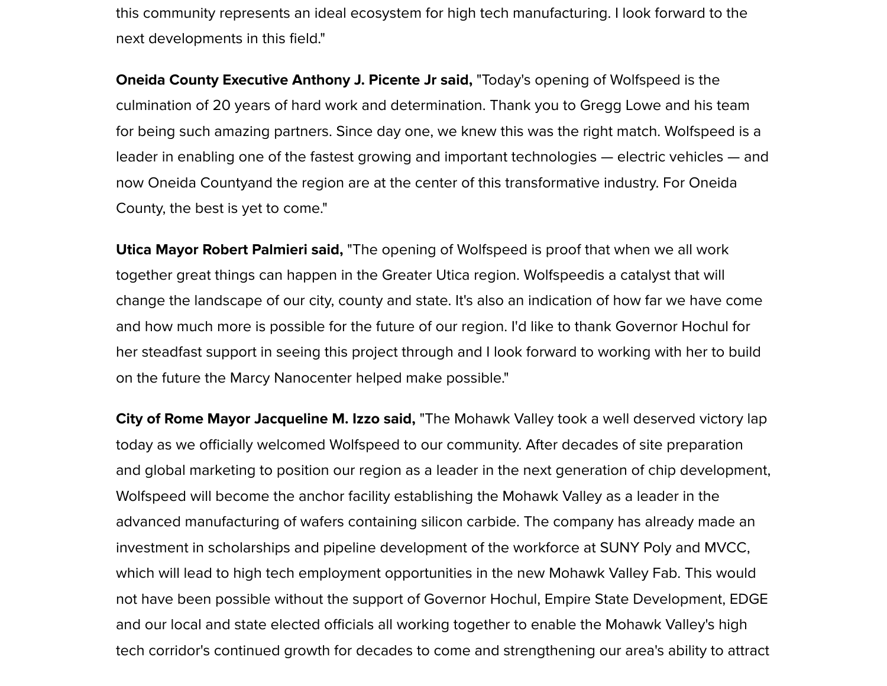this community represents an ideal ecosystem for high tech manufacturing. I look forward to the next developments in this field."

**Oneida County Executive Anthony J. Picente Jr said,** "Today's opening of Wolfspeed is the culmination of 20 years of hard work and determination. Thank you to Gregg Lowe and his team for being such amazing partners. Since day one, we knew this was the right match. Wolfspeed is a leader in enabling one of the fastest growing and important technologies — electric vehicles — and now Oneida Countyand the region are at the center of this transformative industry. For Oneida County, the best is yet to come."

**Utica Mayor Robert Palmieri said,** "The opening of Wolfspeed is proof that when we all work together great things can happen in the Greater Utica region. Wolfspeedis a catalyst that will change the landscape of our city, county and state. It's also an indication of how far we have come and how much more is possible for the future of our region. I'd like to thank Governor Hochul for her steadfast support in seeing this project through and I look forward to working with her to build on the future the Marcy Nanocenter helped make possible."

**City of Rome Mayor Jacqueline M. Izzo said,** "The Mohawk Valley took a well deserved victory lap today as we officially welcomed Wolfspeed to our community. After decades of site preparation and global marketing to position our region as a leader in the next generation of chip development, Wolfspeed will become the anchor facility establishing the Mohawk Valley as a leader in the advanced manufacturing of wafers containing silicon carbide. The company has already made an investment in scholarships and pipeline development of the workforce at SUNY Poly and MVCC, which will lead to high tech employment opportunities in the new Mohawk Valley Fab. This would not have been possible without the support of Governor Hochul, Empire State Development, EDGE and our local and state elected officials all working together to enable the Mohawk Valley's high tech corridor's continued growth for decades to come and strengthening our area's ability to attract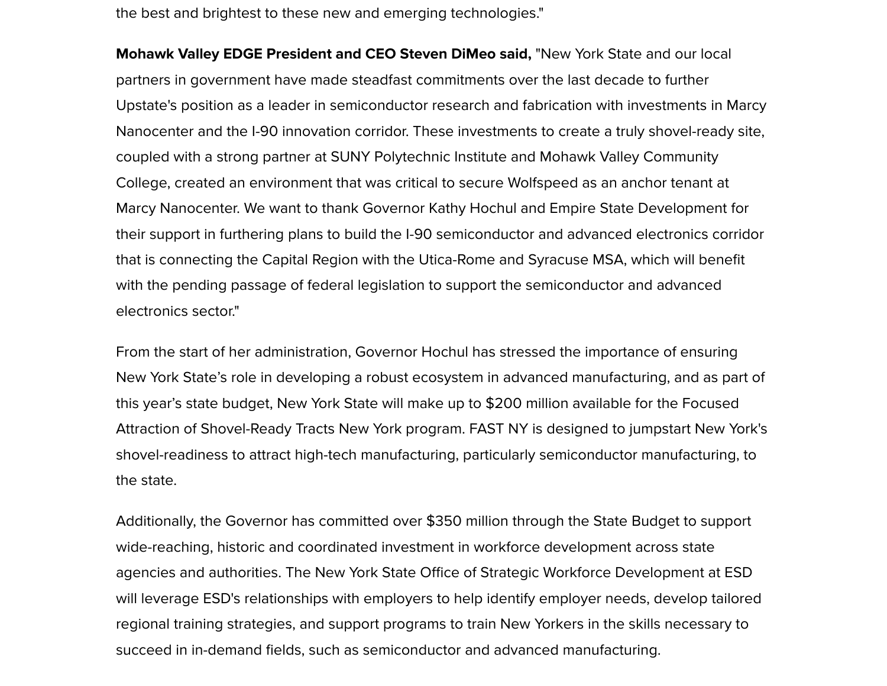the best and brightest to these new and emerging technologies."

**Mohawk Valley EDGE President and CEO Steven DiMeo said, "New York State and our local** partners in government have made steadfast commitments over the last decade to further Upstate's position as a leader in semiconductor research and fabrication with investments in Marcy Nanocenter and the I-90 innovation corridor. These investments to create a truly shovel-ready site, coupled with a strong partner at SUNY Polytechnic Institute and Mohawk Valley Community College, created an environment that was critical to secure Wolfspeed as an anchor tenant at Marcy Nanocenter. We want to thank Governor Kathy Hochul and Empire State Development for their support in furthering plans to build the I-90 semiconductor and advanced electronics corridor that is connecting the Capital Region with the Utica-Rome and Syracuse MSA, which will benefit with the pending passage of federal legislation to support the semiconductor and advanced electronics sector."

From the start of her administration, Governor Hochul has stressed the importance of ensuring New York State's role in developing a robust ecosystem in advanced manufacturing, and as part of this year's state budget, New York State will make up to \$200 million available for the Focused Attraction of Shovel-Ready Tracts New York program. FAST NY is designed to jumpstart New York's shovel-readiness to attract high-tech manufacturing, particularly semiconductor manufacturing, to the state.

Additionally, the Governor has committed over \$350 million through the State Budget to support wide-reaching, historic and coordinated investment in workforce development across state agencies and authorities. The New York State Office of Strategic Workforce Development at ESD will leverage ESD's relationships with employers to help identify employer needs, develop tailored regional training strategies, and support programs to train New Yorkers in the skills necessary to succeed in in-demand fields, such as semiconductor and advanced manufacturing.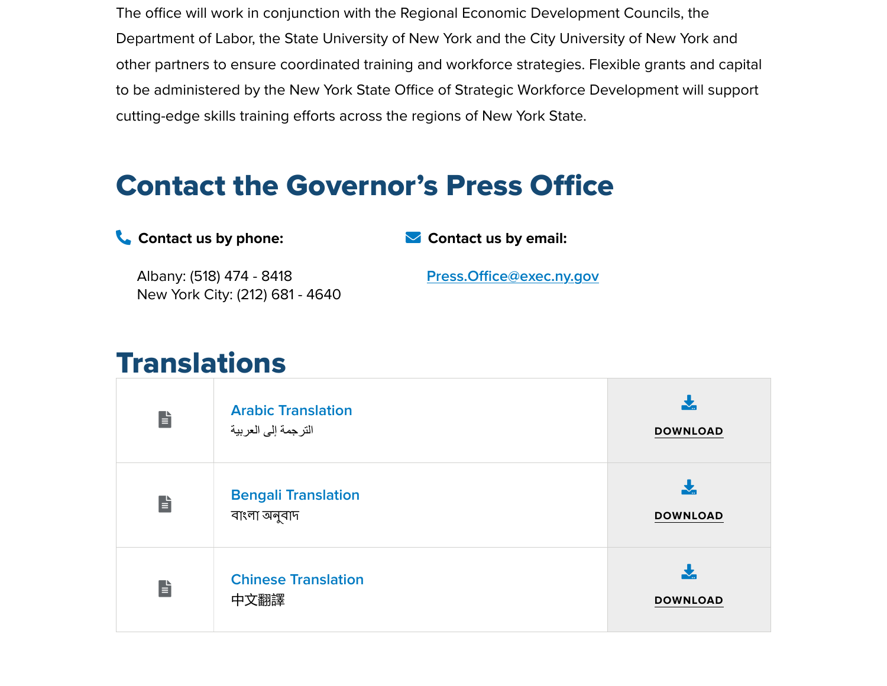The office will work in conjunction with the Regional Economic Development Councils, the Department of Labor, the State University of New York and the City University of New York and other partners to ensure coordinated training and workforce strategies. Flexible grants and capital to be administered by the New York State Office of Strategic Workforce Development will support cutting-edge skills training efforts across the regions of New York State.

## Contact the Governor's Press Office

 **Contact us by phone:** Albany: (518) 474 - 8418  **Contact us by email: Press.Offi[ce@exec.ny.gov](mailto:Press.Office@exec.ny.gov)**

## **Translations**

New York City: (212) 681 - 4640

| È | <b>Arabic Translation</b><br>الترجمة إلى العربية | <b>DOWNLOAD</b> |
|---|--------------------------------------------------|-----------------|
| È | <b>Bengali Translation</b><br>বাংলা অনুবাদ       | <b>DOWNLOAD</b> |
| È | <b>Chinese Translation</b><br>中文翻譯               | <b>DOWNLOAD</b> |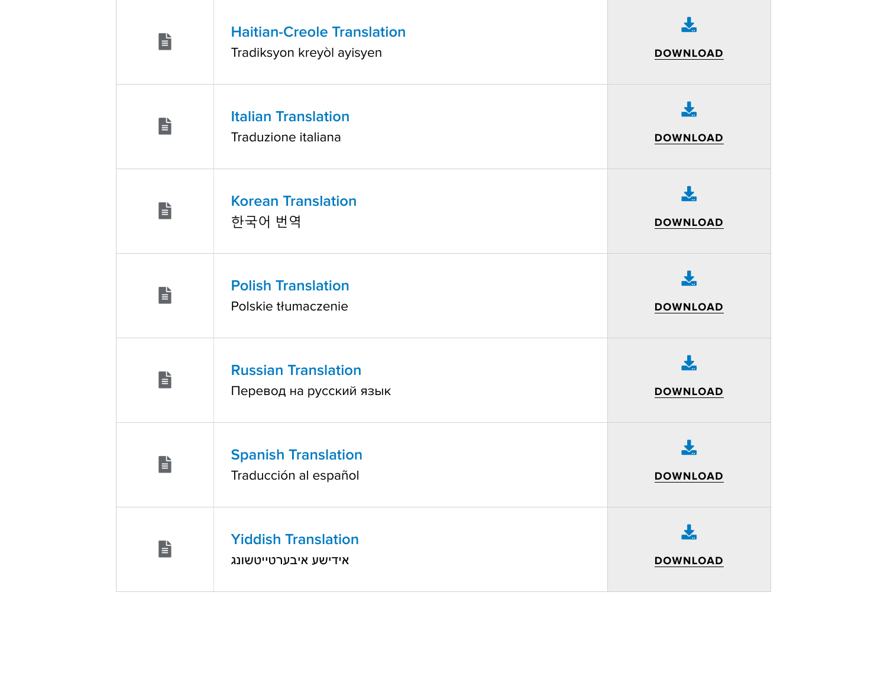| E       | <b>Haitian-Creole Translation</b><br>Tradiksyon kreyòl ayisyen | <b>DOWNLOAD</b>      |
|---------|----------------------------------------------------------------|----------------------|
| È       | <b>Italian Translation</b><br>Traduzione italiana              | ┻<br><b>DOWNLOAD</b> |
| E       | <b>Korean Translation</b><br>한국어 번역                            | ┺<br><b>DOWNLOAD</b> |
| e.<br>E | <b>Polish Translation</b><br>Polskie tłumaczenie               | <b>DOWNLOAD</b>      |
| e.<br>E | <b>Russian Translation</b><br>Перевод на русский язык          | Ł<br><b>DOWNLOAD</b> |
| È       | <b>Spanish Translation</b><br>Traducción al español            | <b>DOWNLOAD</b>      |
| È       | <b>Yiddish Translation</b><br>אידישע איבערטייטשונג             | ┹<br><b>DOWNLOAD</b> |